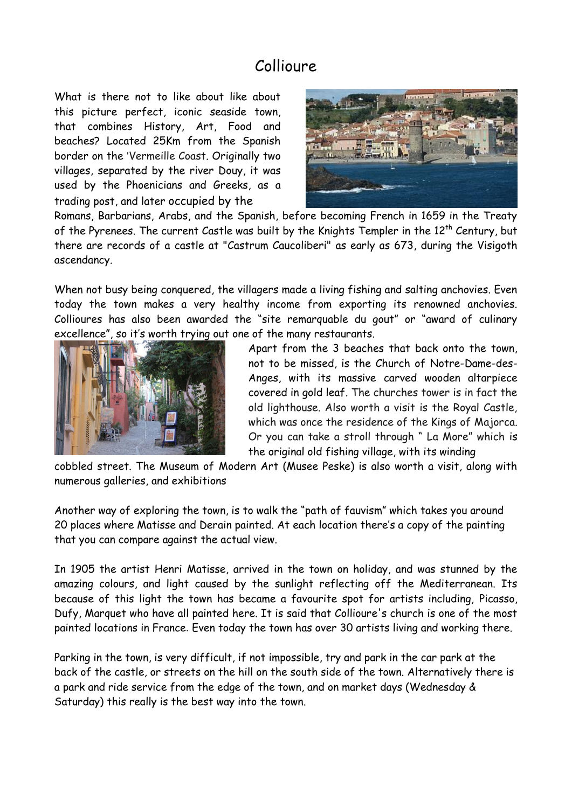## Collioure

What is there not to like about like about this picture perfect, iconic seaside town, that combines History, Art, Food and beaches? Located 25Km from the Spanish border on the 'Vermeille Coast. Originally two villages, separated by the river Douy, it was used by the Phoenicians and Greeks, as a trading post, and later occupied by the



Romans, Barbarians, Arabs, and the Spanish, before becoming French in 1659 in the Treaty of the Pyrenees. The current Castle was built by the Knights Templer in the  $12<sup>th</sup>$  Century, but there are records of a castle at "Castrum Caucoliberi" as early as 673, during the Visigoth ascendancy.

When not busy being conquered, the villagers made a living fishing and salting anchovies. Even today the town makes a very healthy income from exporting its renowned anchovies. Collioures has also been awarded the "site remarquable du gout" or "award of culinary excellence", so it's worth trying out one of the many restaurants.



Apart from the 3 beaches that back onto the town, not to be missed, is the Church of Notre-Dame-des-Anges, with its massive carved wooden altarpiece covered in gold leaf. The churches tower is in fact the old lighthouse. Also worth a visit is the Royal Castle, which was once the residence of the Kings of Majorca. Or you can take a stroll through " La More" which is the original old fishing village, with its winding

cobbled street. The Museum of Modern Art (Musee Peske) is also worth a visit, along with numerous galleries, and exhibitions

Another way of exploring the town, is to walk the "path of fauvism" which takes you around 20 places where Matisse and Derain painted. At each location there's a copy of the painting that you can compare against the actual view.

In 1905 the artist Henri Matisse, arrived in the town on holiday, and was stunned by the amazing colours, and light caused by the sunlight reflecting off the Mediterranean. Its because of this light the town has became a favourite spot for artists including, Picasso, Dufy, Marquet who have all painted here. It is said that Collioure's church is one of the most painted locations in France. Even today the town has over 30 artists living and working there.

Parking in the town, is very difficult, if not impossible, try and park in the car park at the back of the castle, or streets on the hill on the south side of the town. Alternatively there is a park and ride service from the edge of the town, and on market days (Wednesday & Saturday) this really is the best way into the town.